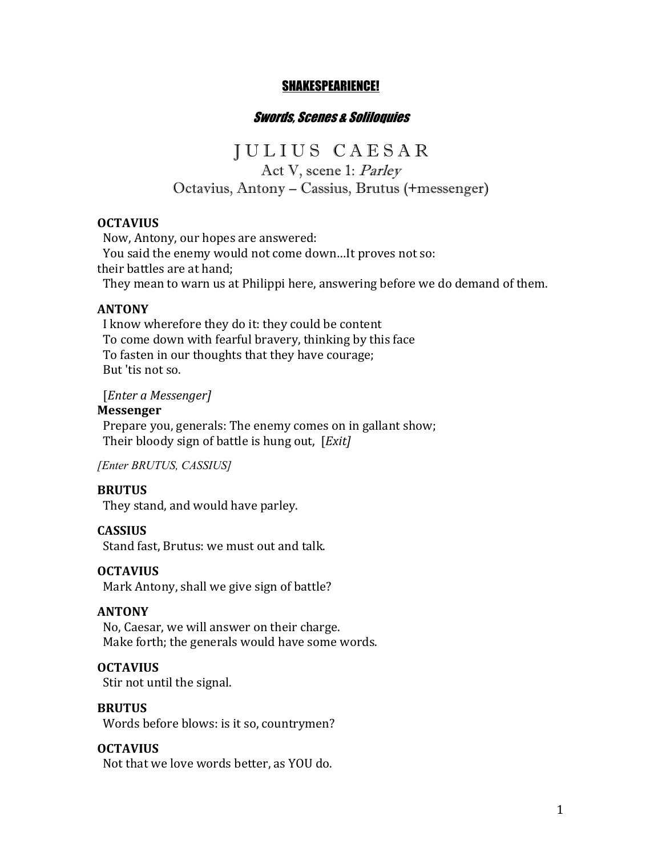#### SHAKESPEARIENCE!

#### Swords, Scenes & Soliloquies

# J U L I U S C A E S A R Act V, scene 1: Parley Octavius, Antony – Cassius, Brutus (+messenger)

#### **OCTAVIUS**

Now, Antony, our hopes are answered: You said the enemy would not come down...It proves not so: their battles are at hand; They mean to warn us at Philippi here, answering before we do demand of them.

#### **ANTONY**

I know wherefore they do it: they could be content To come down with fearful bravery, thinking by this face To fasten in our thoughts that they have courage; But 'tis not so.

 [*Enter a Messenger]*

#### **Messenger**

Prepare you, generals: The enemy comes on in gallant show; Their bloody sign of battle is hung out, [*Exit]* 

*[Enter BRUTUS, CASSIUS]*

#### **BRUTUS**

They stand, and would have parley.

#### **CASSIUS**

Stand fast, Brutus: we must out and talk.

#### **OCTAVIUS**

Mark Antony, shall we give sign of battle?

#### **ANTONY**

No, Caesar, we will answer on their charge. Make forth; the generals would have some words.

#### **OCTAVIUS**

Stir not until the signal.

#### **BRUTUS**

Words before blows: is it so, countrymen?

#### **OCTAVIUS**

Not that we love words better, as YOU do.